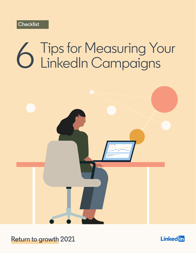# Tips for Measuring Your<br>LinkedIn Campaigns



**Return to growth 2021** 

**Linked** in